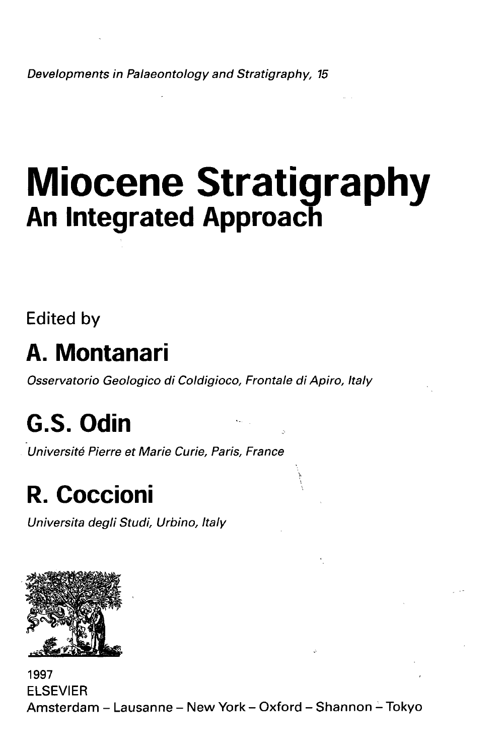Developments in Palaeontology and Stratigraphy, 15

# **Miocene Stratigraphy An Integrated Approach**

Edited by

#### **A. Montanari**

Osservatorio Geologico di Coldigioco, Frontale di Apiro, Italy

## **G.S. Odin**

Universite Pierre et Marie Curie, Paris, France

### **R. Coccioni**

Universita degli Studi, Urbino, Italy



1997 ELSEVIER Amsterdam - Lausanne - New York - Oxford - Shannon - Tokyo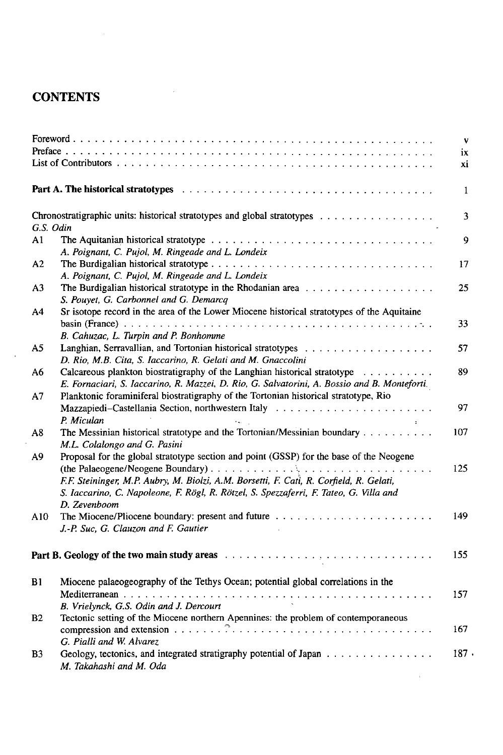#### **CONTENTS**

|           |                                                                                                                | $\mathbf{v}$            |
|-----------|----------------------------------------------------------------------------------------------------------------|-------------------------|
|           |                                                                                                                | ix                      |
|           |                                                                                                                | хi                      |
|           |                                                                                                                |                         |
|           | Part A. The historical stratotypes entertainment contains and contained the state of the state of the state of | $\mathbf{1}$            |
| G.S. Odin | Chronostratigraphic units: historical stratotypes and global stratotypes                                       | $\overline{\mathbf{3}}$ |
|           |                                                                                                                |                         |
| A1        |                                                                                                                | 9                       |
|           | A. Poignant, C. Pujol, M. Ringeade and L. Londeix                                                              |                         |
| A2        |                                                                                                                | 17                      |
|           | A. Poignant, C. Pujol, M. Ringeade and L. Londeix                                                              |                         |
| A3        |                                                                                                                | 25                      |
|           | S. Pouyet, G. Carbonnel and G. Demarcq                                                                         |                         |
| Α4        | Sr isotope record in the area of the Lower Miocene historical stratotypes of the Aquitaine                     |                         |
|           | B. Cahuzac, L. Turpin and P. Bonhomme                                                                          | 33                      |
| A5        |                                                                                                                | 57                      |
|           | D. Rio, M.B. Cita, S. Iaccarino, R. Gelati and M. Gnaccolini                                                   |                         |
| A6        | Calcareous plankton biostratigraphy of the Langhian historical stratotype                                      | 89                      |
|           | E. Fornaciari, S. Iaccarino, R. Mazzei, D. Rio, G. Salvatorini, A. Bossio and B. Monteforti.                   |                         |
| Α7        | Planktonic foraminiferal biostratigraphy of the Tortonian historical stratotype, Rio                           |                         |
|           |                                                                                                                | 97                      |
|           | P. Miculan<br>$\sigma_{\rm max} = 1$                                                                           |                         |
| A8        | The Messinian historical stratotype and the Tortonian/Messinian boundary<br>M.L. Colalongo and G. Pasini       | 107                     |
| A9        | Proposal for the global stratotype section and point (GSSP) for the base of the Neogene                        |                         |
|           |                                                                                                                | 125                     |
|           |                                                                                                                |                         |
|           | F.F. Steininger, M.P. Aubry, M. Biolzi, A.M. Borsetti, F. Cati, R. Corfield, R. Gelati,                        |                         |
|           | S. Iaccarino, C. Napoleone, F. Rögl, R. Rötzel, S. Spezzaferri, F. Tateo, G. Villa and                         |                         |
|           | D. Zevenboom                                                                                                   |                         |
| A10       |                                                                                                                | 149                     |
|           | J.-P. Suc, G. Clauzon and F. Gautier                                                                           |                         |
|           |                                                                                                                | 155                     |
| B1        | Miocene palaeogeography of the Tethys Ocean; potential global correlations in the                              |                         |
|           |                                                                                                                | 157                     |
|           | B. Vrielynck, G.S. Odin and J. Dercourt                                                                        |                         |
| <b>B2</b> | Tectonic setting of the Miocene northern Apennines: the problem of contemporaneous                             |                         |
|           | compression and extension $\ldots \ldots \ldots \ldots \ldots \ldots \ldots \ldots$                            | 167                     |
|           | G. Pialli and W. Alvarez                                                                                       |                         |
| B3        | Geology, tectonics, and integrated stratigraphy potential of Japan                                             | 187.                    |
|           | M. Takahashi and M. Oda                                                                                        |                         |

÷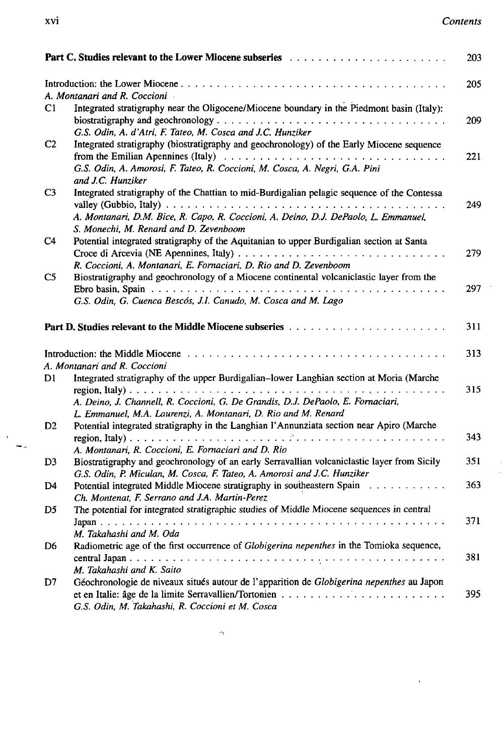$\ddot{\phantom{0}}$ 

 $\bar{r}$ 

| Part C. Studies relevant to the Lower Miocene subseries<br>203 |                                                                                             |     |  |
|----------------------------------------------------------------|---------------------------------------------------------------------------------------------|-----|--|
|                                                                |                                                                                             | 205 |  |
|                                                                | A. Montanari and R. Coccioni                                                                |     |  |
| C1                                                             | Integrated stratigraphy near the Oligocene/Miocene boundary in the Piedmont basin (Italy):  |     |  |
|                                                                |                                                                                             | 209 |  |
|                                                                | G.S. Odin, A. d'Atri, F. Tateo, M. Cosca and J.C. Hunziker                                  |     |  |
| C <sub>2</sub>                                                 | Integrated stratigraphy (biostratigraphy and geochronology) of the Early Miocene sequence   |     |  |
|                                                                | G.S. Odin, A. Amorosi, F. Tateo, R. Coccioni, M. Cosca, A. Negri, G.A. Pini                 | 221 |  |
|                                                                | and J.C. Hunziker                                                                           |     |  |
| C <sub>3</sub>                                                 |                                                                                             |     |  |
|                                                                | Integrated stratigraphy of the Chattian to mid-Burdigalian pelagic sequence of the Contessa | 249 |  |
|                                                                | A. Montanari, D.M. Bice, R. Capo, R. Coccioni, A. Deino, D.J. DePaolo, L. Emmanuel,         |     |  |
|                                                                | S. Monechi, M. Renard and D. Zevenboom                                                      |     |  |
| C <sub>4</sub>                                                 | Potential integrated stratigraphy of the Aquitanian to upper Burdigalian section at Santa   |     |  |
|                                                                |                                                                                             | 279 |  |
|                                                                | R. Coccioni, A. Montanari, E. Fornaciari, D. Rio and D. Zevenboom                           |     |  |
| C <sub>5</sub>                                                 | Biostratigraphy and geochronology of a Miocene continental volcaniclastic layer from the    |     |  |
|                                                                |                                                                                             | 297 |  |
|                                                                | G.S. Odin, G. Cuenca Bescós, J.I. Canudo, M. Cosca and M. Lago                              |     |  |
|                                                                |                                                                                             |     |  |
|                                                                |                                                                                             | 311 |  |
|                                                                |                                                                                             | 313 |  |
|                                                                | A. Montanari and R. Coccioni                                                                |     |  |
| D1                                                             | Integrated stratigraphy of the upper Burdigalian-lower Langhian section at Moria (Marche    |     |  |
|                                                                |                                                                                             | 315 |  |
|                                                                | A. Deino, J. Channell, R. Coccioni, G. De Grandis, D.J. DePaolo, E. Fornaciari,             |     |  |
|                                                                | L. Emmanuel, M.A. Laurenzi, A. Montanari, D. Rio and M. Renard                              |     |  |
| D2                                                             | Potential integrated stratigraphy in the Langhian l'Annunziata section near Apiro (Marche   |     |  |
|                                                                |                                                                                             | 343 |  |
|                                                                | A. Montanari, R. Coccioni, E. Fornaciari and D. Rio                                         |     |  |
| D <sub>3</sub>                                                 | Biostratigraphy and geochronology of an early Serravallian volcaniclastic layer from Sicily | 351 |  |
|                                                                | G.S. Odin, P. Miculan, M. Cosca, F. Tateo, A. Amorosi and J.C. Hunziker                     |     |  |
| D4                                                             | Potential integrated Middle Miocene stratigraphy in southeastern Spain                      | 363 |  |
|                                                                | Ch. Montenat, F. Serrano and J.A. Martin-Perez                                              |     |  |
| D5                                                             | The potential for integrated stratigraphic studies of Middle Miocene sequences in central   |     |  |
|                                                                |                                                                                             | 371 |  |
|                                                                | M. Takahashi and M. Oda                                                                     |     |  |
| D6                                                             | Radiometric age of the first occurrence of Globigerina nepenthes in the Tomioka sequence,   |     |  |
|                                                                |                                                                                             | 381 |  |
|                                                                | M. Takahashi and K. Saito                                                                   |     |  |
| D7                                                             | Géochronologie de niveaux situés autour de l'apparition de Globigerina nepenthes au Japon   |     |  |
|                                                                |                                                                                             | 395 |  |
|                                                                | G.S. Odin, M. Takahashi, R. Coccioni et M. Cosca                                            |     |  |

 $\mathcal{A}_{\mathbf{q}}$ 

 $\bar{\mathbf{3}}$  $\rightarrow$